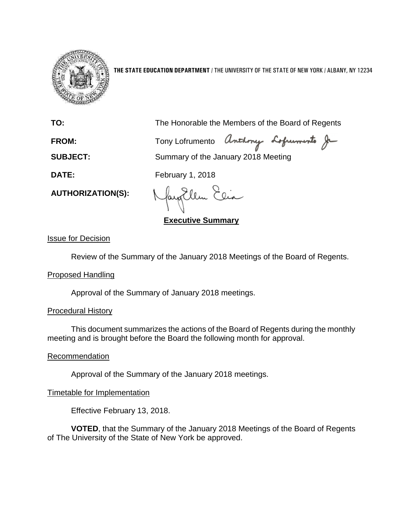

**THE STATE EDUCATION DEPARTMENT** / THE UNIVERSITY OF THE STATE OF NEW YORK / ALBANY, NY 12234

**TO:** The Honorable the Members of the Board of Regents

FROM: Tony Lofrumento Anthony Lofruments Je

**SUBJECT:** Summary of the January 2018 Meeting

**DATE:** February 1, 2018

Ellm

**Executive Summary**

Issue for Decision

**AUTHORIZATION(S):**

Review of the Summary of the January 2018 Meetings of the Board of Regents.

## Proposed Handling

Approval of the Summary of January 2018 meetings.

# Procedural History

This document summarizes the actions of the Board of Regents during the monthly meeting and is brought before the Board the following month for approval.

## Recommendation

Approval of the Summary of the January 2018 meetings.

# Timetable for Implementation

Effective February 13, 2018.

**VOTED**, that the Summary of the January 2018 Meetings of the Board of Regents of The University of the State of New York be approved.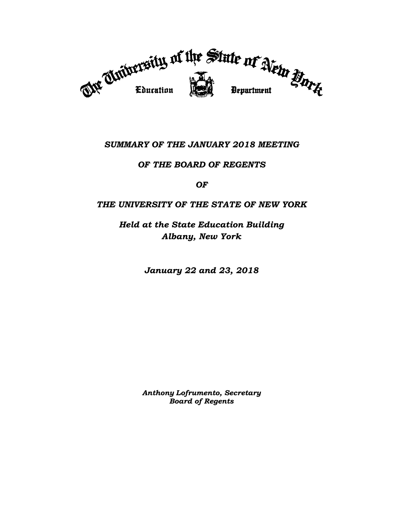

# *SUMMARY OF THE JANUARY 2018 MEETING*

## *OF THE BOARD OF REGENTS*

*OF*

## *THE UNIVERSITY OF THE STATE OF NEW YORK*

*Held at the State Education Building Albany, New York*

*January 22 and 23, 2018*

*Anthony Lofrumento, Secretary Board of Regents*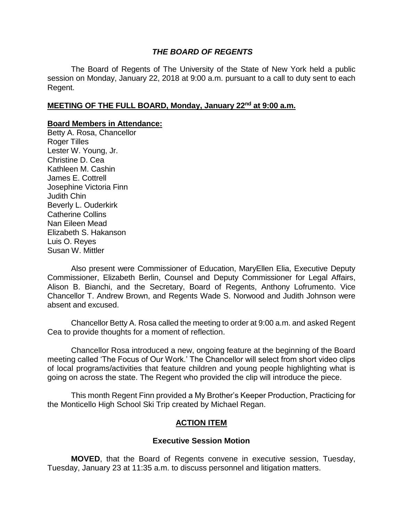### *THE BOARD OF REGENTS*

The Board of Regents of The University of the State of New York held a public session on Monday, January 22, 2018 at 9:00 a.m. pursuant to a call to duty sent to each Regent.

#### **MEETING OF THE FULL BOARD, Monday, January 22nd at 9:00 a.m.**

#### **Board Members in Attendance:**

Betty A. Rosa, Chancellor Roger Tilles Lester W. Young, Jr. Christine D. Cea Kathleen M. Cashin James E. Cottrell Josephine Victoria Finn Judith Chin Beverly L. Ouderkirk Catherine Collins Nan Eileen Mead Elizabeth S. Hakanson Luis O. Reyes Susan W. Mittler

Also present were Commissioner of Education, MaryEllen Elia, Executive Deputy Commissioner, Elizabeth Berlin, Counsel and Deputy Commissioner for Legal Affairs, Alison B. Bianchi, and the Secretary, Board of Regents, Anthony Lofrumento. Vice Chancellor T. Andrew Brown, and Regents Wade S. Norwood and Judith Johnson were absent and excused.

Chancellor Betty A. Rosa called the meeting to order at 9:00 a.m. and asked Regent Cea to provide thoughts for a moment of reflection.

Chancellor Rosa introduced a new, ongoing feature at the beginning of the Board meeting called 'The Focus of Our Work.' The Chancellor will select from short video clips of local programs/activities that feature children and young people highlighting what is going on across the state. The Regent who provided the clip will introduce the piece.

This month Regent Finn provided a My Brother's Keeper Production, Practicing for the Monticello High School Ski Trip created by Michael Regan.

### **ACTION ITEM**

#### **Executive Session Motion**

**MOVED**, that the Board of Regents convene in executive session, Tuesday, Tuesday, January 23 at 11:35 a.m. to discuss personnel and litigation matters.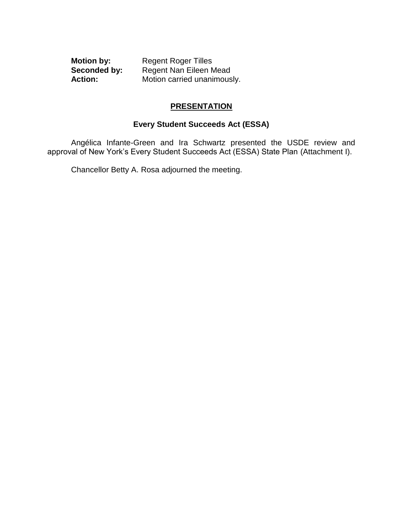**Motion by:** Regent Roger Tilles<br>**Seconded by:** Regent Nan Eileen M Regent Nan Eileen Mead Action: Motion carried unanimously.

### **PRESENTATION**

## **Every Student Succeeds Act (ESSA)**

Angélica Infante-Green and Ira Schwartz presented the USDE review and approval of New York's Every Student Succeeds Act (ESSA) State Plan (Attachment I).

Chancellor Betty A. Rosa adjourned the meeting.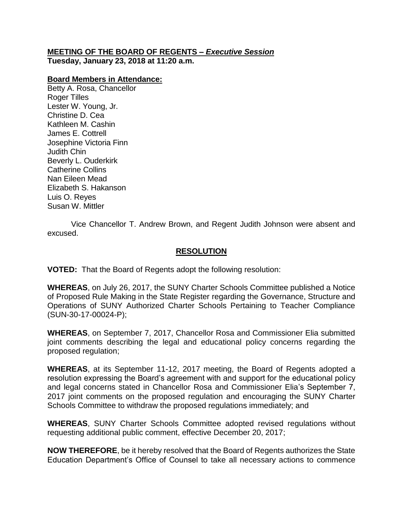### **MEETING OF THE BOARD OF REGENTS –** *Executive Session* **Tuesday, January 23, 2018 at 11:20 a.m.**

#### **Board Members in Attendance:**

Betty A. Rosa, Chancellor Roger Tilles Lester W. Young, Jr. Christine D. Cea Kathleen M. Cashin James E. Cottrell Josephine Victoria Finn Judith Chin Beverly L. Ouderkirk Catherine Collins Nan Eileen Mead Elizabeth S. Hakanson Luis O. Reyes Susan W. Mittler

Vice Chancellor T. Andrew Brown, and Regent Judith Johnson were absent and excused.

### **RESOLUTION**

**VOTED:** That the Board of Regents adopt the following resolution:

**WHEREAS**, on July 26, 2017, the SUNY Charter Schools Committee published a Notice of Proposed Rule Making in the State Register regarding the Governance, Structure and Operations of SUNY Authorized Charter Schools Pertaining to Teacher Compliance (SUN-30-17-00024-P);

**WHEREAS**, on September 7, 2017, Chancellor Rosa and Commissioner Elia submitted joint comments describing the legal and educational policy concerns regarding the proposed regulation;

**WHEREAS**, at its September 11-12, 2017 meeting, the Board of Regents adopted a resolution expressing the Board's agreement with and support for the educational policy and legal concerns stated in Chancellor Rosa and Commissioner Elia's September 7, 2017 joint comments on the proposed regulation and encouraging the SUNY Charter Schools Committee to withdraw the proposed regulations immediately; and

**WHEREAS**, SUNY Charter Schools Committee adopted revised regulations without requesting additional public comment, effective December 20, 2017;

**NOW THEREFORE**, be it hereby resolved that the Board of Regents authorizes the State Education Department's Office of Counsel to take all necessary actions to commence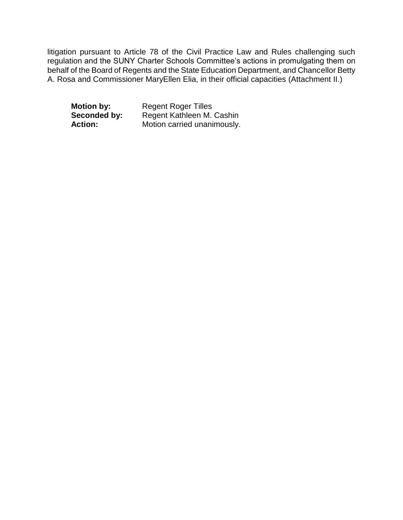litigation pursuant to Article 78 of the Civil Practice Law and Rules challenging such regulation and the SUNY Charter Schools Committee's actions in promulgating them on behalf of the Board of Regents and the State Education Department, and Chancellor Betty A. Rosa and Commissioner MaryEllen Elia, in their official capacities (Attachment II.)

**Motion by:** Regent Roger Tilles<br>**Seconded by:** Regent Kathleen M. **Regent Kathleen M. Cashin** Action: Motion carried unanimously.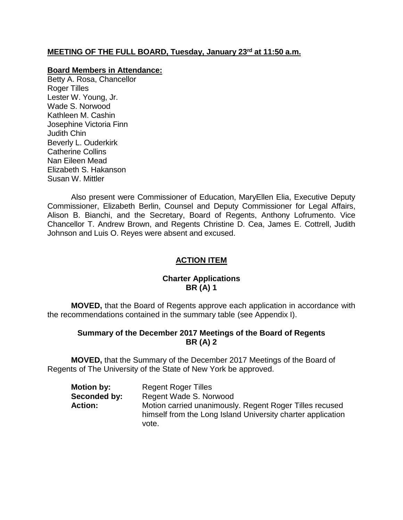### **MEETING OF THE FULL BOARD, Tuesday, January 23rd at 11:50 a.m.**

#### **Board Members in Attendance:**

Betty A. Rosa, Chancellor Roger Tilles Lester W. Young, Jr. Wade S. Norwood Kathleen M. Cashin Josephine Victoria Finn Judith Chin Beverly L. Ouderkirk Catherine Collins Nan Eileen Mead Elizabeth S. Hakanson Susan W. Mittler

Also present were Commissioner of Education, MaryEllen Elia, Executive Deputy Commissioner, Elizabeth Berlin, Counsel and Deputy Commissioner for Legal Affairs, Alison B. Bianchi, and the Secretary, Board of Regents, Anthony Lofrumento. Vice Chancellor T. Andrew Brown, and Regents Christine D. Cea, James E. Cottrell, Judith Johnson and Luis O. Reyes were absent and excused.

## **ACTION ITEM**

### **Charter Applications BR (A) 1**

**MOVED,** that the Board of Regents approve each application in accordance with the recommendations contained in the summary table (see Appendix I).

### **Summary of the December 2017 Meetings of the Board of Regents BR (A) 2**

**MOVED,** that the Summary of the December 2017 Meetings of the Board of Regents of The University of the State of New York be approved.

| <b>Motion by:</b> | <b>Regent Roger Tilles</b>                                  |
|-------------------|-------------------------------------------------------------|
| Seconded by:      | Regent Wade S. Norwood                                      |
| Action:           | Motion carried unanimously. Regent Roger Tilles recused     |
|                   | himself from the Long Island University charter application |
|                   | vote.                                                       |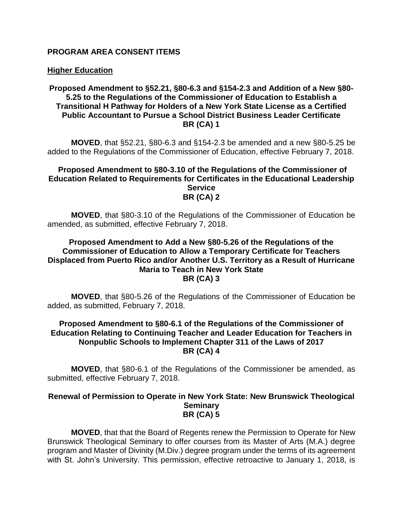#### **PROGRAM AREA CONSENT ITEMS**

#### **Higher Education**

#### **Proposed Amendment to §52.21, §80-6.3 and §154-2.3 and Addition of a New §80- 5.25 to the Regulations of the Commissioner of Education to Establish a Transitional H Pathway for Holders of a New York State License as a Certified Public Accountant to Pursue a School District Business Leader Certificate BR (CA) 1**

**MOVED**, that §52.21, §80-6.3 and §154-2.3 be amended and a new §80-5.25 be added to the Regulations of the Commissioner of Education, effective February 7, 2018.

#### **Proposed Amendment to §80-3.10 of the Regulations of the Commissioner of Education Related to Requirements for Certificates in the Educational Leadership Service BR (CA) 2**

**MOVED**, that §80-3.10 of the Regulations of the Commissioner of Education be amended, as submitted, effective February 7, 2018.

#### **Proposed Amendment to Add a New §80-5.26 of the Regulations of the Commissioner of Education to Allow a Temporary Certificate for Teachers Displaced from Puerto Rico and/or Another U.S. Territory as a Result of Hurricane Maria to Teach in New York State BR (CA) 3**

**MOVED**, that §80-5.26 of the Regulations of the Commissioner of Education be added, as submitted, February 7, 2018.

#### **Proposed Amendment to §80-6.1 of the Regulations of the Commissioner of Education Relating to Continuing Teacher and Leader Education for Teachers in Nonpublic Schools to Implement Chapter 311 of the Laws of 2017 BR (CA) 4**

**MOVED**, that §80-6.1 of the Regulations of the Commissioner be amended, as submitted, effective February 7, 2018.

#### **Renewal of Permission to Operate in New York State: New Brunswick Theological Seminary BR (CA) 5**

**MOVED**, that that the Board of Regents renew the Permission to Operate for New Brunswick Theological Seminary to offer courses from its Master of Arts (M.A.) degree program and Master of Divinity (M.Div.) degree program under the terms of its agreement with St. John's University. This permission, effective retroactive to January 1, 2018, is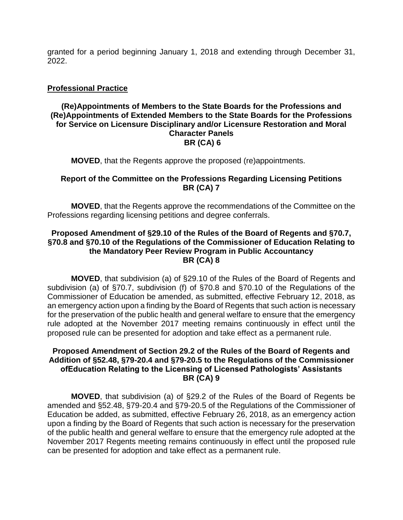granted for a period beginning January 1, 2018 and extending through December 31, 2022.

### **Professional Practice**

#### **(Re)Appointments of Members to the State Boards for the Professions and (Re)Appointments of Extended Members to the State Boards for the Professions for Service on Licensure Disciplinary and/or Licensure Restoration and Moral Character Panels BR (CA) 6**

**MOVED**, that the Regents approve the proposed (re)appointments.

### **Report of the Committee on the Professions Regarding Licensing Petitions BR (CA) 7**

**MOVED**, that the Regents approve the recommendations of the Committee on the Professions regarding licensing petitions and degree conferrals.

#### **Proposed Amendment of §29.10 of the Rules of the Board of Regents and §70.7, §70.8 and §70.10 of the Regulations of the Commissioner of Education Relating to the Mandatory Peer Review Program in Public Accountancy BR (CA) 8**

**MOVED**, that subdivision (a) of §29.10 of the Rules of the Board of Regents and subdivision (a) of §70.7, subdivision (f) of §70.8 and §70.10 of the Regulations of the Commissioner of Education be amended, as submitted, effective February 12, 2018, as an emergency action upon a finding by the Board of Regents that such action is necessary for the preservation of the public health and general welfare to ensure that the emergency rule adopted at the November 2017 meeting remains continuously in effect until the proposed rule can be presented for adoption and take effect as a permanent rule.

### **Proposed Amendment of Section 29.2 of the Rules of the Board of Regents and Addition of §52.48, §79-20.4 and §79-20.5 to the Regulations of the Commissioner ofEducation Relating to the Licensing of Licensed Pathologists' Assistants BR (CA) 9**

**MOVED**, that subdivision (a) of §29.2 of the Rules of the Board of Regents be amended and §52.48, §79-20.4 and §79-20.5 of the Regulations of the Commissioner of Education be added, as submitted, effective February 26, 2018, as an emergency action upon a finding by the Board of Regents that such action is necessary for the preservation of the public health and general welfare to ensure that the emergency rule adopted at the November 2017 Regents meeting remains continuously in effect until the proposed rule can be presented for adoption and take effect as a permanent rule.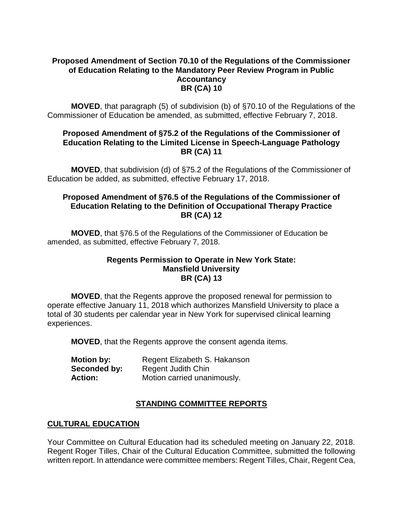### **Proposed Amendment of Section 70.10 of the Regulations of the Commissioner of Education Relating to the Mandatory Peer Review Program in Public Accountancy BR (CA) 10**

**MOVED**, that paragraph (5) of subdivision (b) of §70.10 of the Regulations of the Commissioner of Education be amended, as submitted, effective February 7, 2018.

### **Proposed Amendment of §75.2 of the Regulations of the Commissioner of Education Relating to the Limited License in Speech-Language Pathology BR (CA) 11**

**MOVED**, that subdivision (d) of §75.2 of the Regulations of the Commissioner of Education be added, as submitted, effective February 17, 2018.

#### **Proposed Amendment of §76.5 of the Regulations of the Commissioner of Education Relating to the Definition of Occupational Therapy Practice BR (CA) 12**

**MOVED**, that §76.5 of the Regulations of the Commissioner of Education be amended, as submitted, effective February 7, 2018.

#### **Regents Permission to Operate in New York State: Mansfield University BR (CA) 13**

**MOVED**, that the Regents approve the proposed renewal for permission to operate effective January 11, 2018 which authorizes Mansfield University to place a total of 30 students per calendar year in New York for supervised clinical learning experiences.

**MOVED**, that the Regents approve the consent agenda items.

| <b>Motion by:</b> | Regent Elizabeth S. Hakanson |
|-------------------|------------------------------|
| Seconded by:      | <b>Regent Judith Chin</b>    |
| <b>Action:</b>    | Motion carried unanimously.  |

# **STANDING COMMITTEE REPORTS**

## **CULTURAL EDUCATION**

Your Committee on Cultural Education had its scheduled meeting on January 22, 2018. Regent Roger Tilles, Chair of the Cultural Education Committee, submitted the following written report. In attendance were committee members: Regent Tilles, Chair, Regent Cea,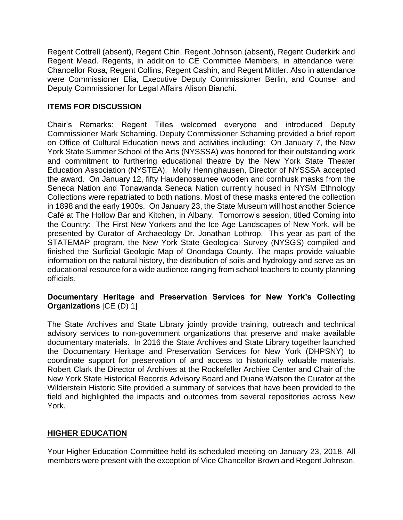Regent Cottrell (absent), Regent Chin, Regent Johnson (absent), Regent Ouderkirk and Regent Mead. Regents, in addition to CE Committee Members, in attendance were: Chancellor Rosa, Regent Collins, Regent Cashin, and Regent Mittler. Also in attendance were Commissioner Elia, Executive Deputy Commissioner Berlin, and Counsel and Deputy Commissioner for Legal Affairs Alison Bianchi.

## **ITEMS FOR DISCUSSION**

Chair's Remarks: Regent Tilles welcomed everyone and introduced Deputy Commissioner Mark Schaming. Deputy Commissioner Schaming provided a brief report on Office of Cultural Education news and activities including: On January 7, the New York State Summer School of the Arts (NYSSSA) was honored for their outstanding work and commitment to furthering educational theatre by the New York State Theater Education Association (NYSTEA). Molly Hennighausen, Director of NYSSSA accepted the award. On January 12, fifty Haudenosaunee wooden and cornhusk masks from the Seneca Nation and Tonawanda Seneca Nation currently housed in NYSM Ethnology Collections were repatriated to both nations. Most of these masks entered the collection in 1898 and the early 1900s. On January 23, the State Museum will host another Science Café at The Hollow Bar and Kitchen, in Albany. Tomorrow's session, titled Coming into the Country: The First New Yorkers and the Ice Age Landscapes of New York, will be presented by Curator of Archaeology Dr. Jonathan Lothrop. This year as part of the STATEMAP program, the New York State Geological Survey (NYSGS) compiled and finished the Surficial Geologic Map of Onondaga County. The maps provide valuable information on the natural history, the distribution of soils and hydrology and serve as an educational resource for a wide audience ranging from school teachers to county planning officials.

### **Documentary Heritage and Preservation Services for New York's Collecting Organizations** [CE (D) 1]

The State Archives and State Library jointly provide training, outreach and technical advisory services to non-government organizations that preserve and make available documentary materials. In 2016 the State Archives and State Library together launched the Documentary Heritage and Preservation Services for New York (DHPSNY) to coordinate support for preservation of and access to historically valuable materials. Robert Clark the Director of Archives at the Rockefeller Archive Center and Chair of the New York State Historical Records Advisory Board and Duane Watson the Curator at the Wilderstein Historic Site provided a summary of services that have been provided to the field and highlighted the impacts and outcomes from several repositories across New York.

## **HIGHER EDUCATION**

Your Higher Education Committee held its scheduled meeting on January 23, 2018. All members were present with the exception of Vice Chancellor Brown and Regent Johnson.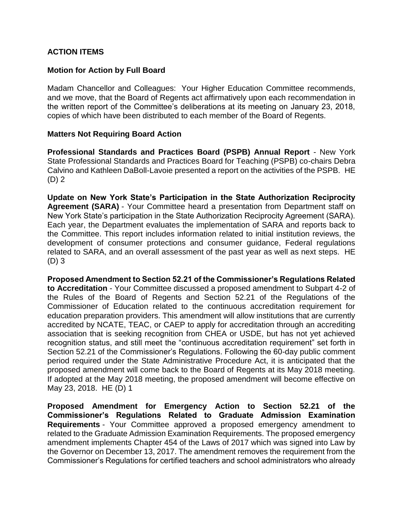### **ACTION ITEMS**

### **Motion for Action by Full Board**

Madam Chancellor and Colleagues: Your Higher Education Committee recommends, and we move, that the Board of Regents act affirmatively upon each recommendation in the written report of the Committee's deliberations at its meeting on January 23, 2018, copies of which have been distributed to each member of the Board of Regents.

#### **Matters Not Requiring Board Action**

**Professional Standards and Practices Board (PSPB) Annual Report** - New York State Professional Standards and Practices Board for Teaching (PSPB) co-chairs Debra Calvino and Kathleen DaBoll-Lavoie presented a report on the activities of the PSPB. HE (D) 2

**Update on New York State's Participation in the State Authorization Reciprocity Agreement (SARA)** - Your Committee heard a presentation from Department staff on New York State's participation in the State Authorization Reciprocity Agreement (SARA). Each year, the Department evaluates the implementation of SARA and reports back to the Committee. This report includes information related to initial institution reviews, the development of consumer protections and consumer guidance, Federal regulations related to SARA, and an overall assessment of the past year as well as next steps. HE (D) 3

**Proposed Amendment to Section 52.21 of the Commissioner's Regulations Related to Accreditation** - Your Committee discussed a proposed amendment to Subpart 4-2 of the Rules of the Board of Regents and Section 52.21 of the Regulations of the Commissioner of Education related to the continuous accreditation requirement for education preparation providers. This amendment will allow institutions that are currently accredited by NCATE, TEAC, or CAEP to apply for accreditation through an accrediting association that is seeking recognition from CHEA or USDE, but has not yet achieved recognition status, and still meet the "continuous accreditation requirement" set forth in Section 52.21 of the Commissioner's Regulations. Following the 60-day public comment period required under the State Administrative Procedure Act, it is anticipated that the proposed amendment will come back to the Board of Regents at its May 2018 meeting. If adopted at the May 2018 meeting, the proposed amendment will become effective on May 23, 2018. HE (D) 1

**Proposed Amendment for Emergency Action to Section 52.21 of the Commissioner's Regulations Related to Graduate Admission Examination Requirements** - Your Committee approved a proposed emergency amendment to related to the Graduate Admission Examination Requirements. The proposed emergency amendment implements Chapter 454 of the Laws of 2017 which was signed into Law by the Governor on December 13, 2017. The amendment removes the requirement from the Commissioner's Regulations for certified teachers and school administrators who already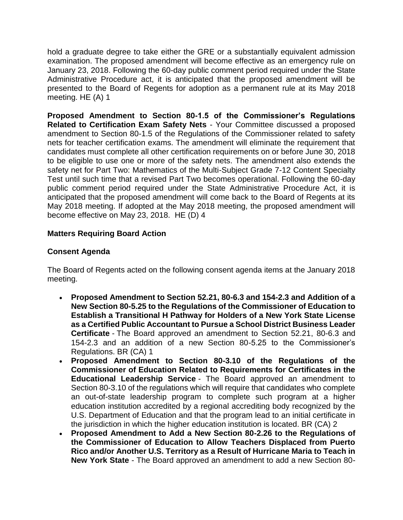hold a graduate degree to take either the GRE or a substantially equivalent admission examination. The proposed amendment will become effective as an emergency rule on January 23, 2018. Following the 60-day public comment period required under the State Administrative Procedure act, it is anticipated that the proposed amendment will be presented to the Board of Regents for adoption as a permanent rule at its May 2018 meeting. HE (A) 1

**Proposed Amendment to Section 80-1.5 of the Commissioner's Regulations Related to Certification Exam Safety Nets** - Your Committee discussed a proposed amendment to Section 80-1.5 of the Regulations of the Commissioner related to safety nets for teacher certification exams. The amendment will eliminate the requirement that candidates must complete all other certification requirements on or before June 30, 2018 to be eligible to use one or more of the safety nets. The amendment also extends the safety net for Part Two: Mathematics of the Multi-Subject Grade 7-12 Content Specialty Test until such time that a revised Part Two becomes operational. Following the 60-day public comment period required under the State Administrative Procedure Act, it is anticipated that the proposed amendment will come back to the Board of Regents at its May 2018 meeting. If adopted at the May 2018 meeting, the proposed amendment will become effective on May 23, 2018. HE (D) 4

### **Matters Requiring Board Action**

## **Consent Agenda**

The Board of Regents acted on the following consent agenda items at the January 2018 meeting.

- **Proposed Amendment to Section 52.21, 80-6.3 and 154-2.3 and Addition of a New Section 80-5.25 to the Regulations of the Commissioner of Education to Establish a Transitional H Pathway for Holders of a New York State License as a Certified Public Accountant to Pursue a School District Business Leader Certificate** - The Board approved an amendment to Section 52.21, 80-6.3 and 154-2.3 and an addition of a new Section 80-5.25 to the Commissioner's Regulations. BR (CA) 1
- **Proposed Amendment to Section 80-3.10 of the Regulations of the Commissioner of Education Related to Requirements for Certificates in the Educational Leadership Service** - The Board approved an amendment to Section 80-3.10 of the regulations which will require that candidates who complete an out-of-state leadership program to complete such program at a higher education institution accredited by a regional accrediting body recognized by the U.S. Department of Education and that the program lead to an initial certificate in the jurisdiction in which the higher education institution is located. BR (CA) 2
- **Proposed Amendment to Add a New Section 80-2.26 to the Regulations of the Commissioner of Education to Allow Teachers Displaced from Puerto Rico and/or Another U.S. Territory as a Result of Hurricane Maria to Teach in New York State** - The Board approved an amendment to add a new Section 80-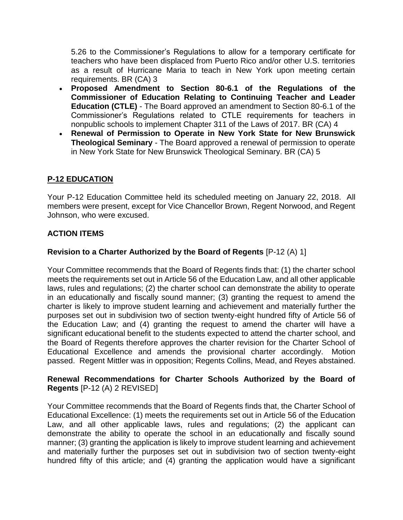5.26 to the Commissioner's Regulations to allow for a temporary certificate for teachers who have been displaced from Puerto Rico and/or other U.S. territories as a result of Hurricane Maria to teach in New York upon meeting certain requirements. BR (CA) 3

- **Proposed Amendment to Section 80-6.1 of the Regulations of the Commissioner of Education Relating to Continuing Teacher and Leader Education (CTLE)** - The Board approved an amendment to Section 80-6.1 of the Commissioner's Regulations related to CTLE requirements for teachers in nonpublic schools to implement Chapter 311 of the Laws of 2017. BR (CA) 4
- **Renewal of Permission to Operate in New York State for New Brunswick Theological Seminary** - The Board approved a renewal of permission to operate in New York State for New Brunswick Theological Seminary. BR (CA) 5

## **P-12 EDUCATION**

Your P-12 Education Committee held its scheduled meeting on January 22, 2018. All members were present, except for Vice Chancellor Brown, Regent Norwood, and Regent Johnson, who were excused.

## **ACTION ITEMS**

## **Revision to a Charter Authorized by the Board of Regents** [P-12 (A) 1]

Your Committee recommends that the Board of Regents finds that: (1) the charter school meets the requirements set out in Article 56 of the Education Law, and all other applicable laws, rules and regulations; (2) the charter school can demonstrate the ability to operate in an educationally and fiscally sound manner; (3) granting the request to amend the charter is likely to improve student learning and achievement and materially further the purposes set out in subdivision two of section twenty-eight hundred fifty of Article 56 of the Education Law; and (4) granting the request to amend the charter will have a significant educational benefit to the students expected to attend the charter school, and the Board of Regents therefore approves the charter revision for the Charter School of Educational Excellence and amends the provisional charter accordingly. Motion passed. Regent Mittler was in opposition; Regents Collins, Mead, and Reyes abstained.

### **Renewal Recommendations for Charter Schools Authorized by the Board of Regents** [P-12 (A) 2 REVISED]

Your Committee recommends that the Board of Regents finds that, the Charter School of Educational Excellence: (1) meets the requirements set out in Article 56 of the Education Law, and all other applicable laws, rules and regulations; (2) the applicant can demonstrate the ability to operate the school in an educationally and fiscally sound manner; (3) granting the application is likely to improve student learning and achievement and materially further the purposes set out in subdivision two of section twenty-eight hundred fifty of this article; and (4) granting the application would have a significant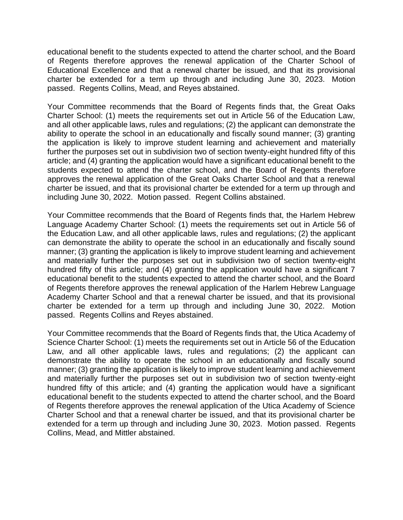educational benefit to the students expected to attend the charter school, and the Board of Regents therefore approves the renewal application of the Charter School of Educational Excellence and that a renewal charter be issued, and that its provisional charter be extended for a term up through and including June 30, 2023. Motion passed. Regents Collins, Mead, and Reyes abstained.

Your Committee recommends that the Board of Regents finds that, the Great Oaks Charter School: (1) meets the requirements set out in Article 56 of the Education Law, and all other applicable laws, rules and regulations; (2) the applicant can demonstrate the ability to operate the school in an educationally and fiscally sound manner; (3) granting the application is likely to improve student learning and achievement and materially further the purposes set out in subdivision two of section twenty-eight hundred fifty of this article; and (4) granting the application would have a significant educational benefit to the students expected to attend the charter school, and the Board of Regents therefore approves the renewal application of the Great Oaks Charter School and that a renewal charter be issued, and that its provisional charter be extended for a term up through and including June 30, 2022. Motion passed. Regent Collins abstained.

Your Committee recommends that the Board of Regents finds that, the Harlem Hebrew Language Academy Charter School: (1) meets the requirements set out in Article 56 of the Education Law, and all other applicable laws, rules and regulations; (2) the applicant can demonstrate the ability to operate the school in an educationally and fiscally sound manner; (3) granting the application is likely to improve student learning and achievement and materially further the purposes set out in subdivision two of section twenty-eight hundred fifty of this article; and (4) granting the application would have a significant 7 educational benefit to the students expected to attend the charter school, and the Board of Regents therefore approves the renewal application of the Harlem Hebrew Language Academy Charter School and that a renewal charter be issued, and that its provisional charter be extended for a term up through and including June 30, 2022. Motion passed. Regents Collins and Reyes abstained.

Your Committee recommends that the Board of Regents finds that, the Utica Academy of Science Charter School: (1) meets the requirements set out in Article 56 of the Education Law, and all other applicable laws, rules and regulations; (2) the applicant can demonstrate the ability to operate the school in an educationally and fiscally sound manner; (3) granting the application is likely to improve student learning and achievement and materially further the purposes set out in subdivision two of section twenty-eight hundred fifty of this article; and (4) granting the application would have a significant educational benefit to the students expected to attend the charter school, and the Board of Regents therefore approves the renewal application of the Utica Academy of Science Charter School and that a renewal charter be issued, and that its provisional charter be extended for a term up through and including June 30, 2023. Motion passed. Regents Collins, Mead, and Mittler abstained.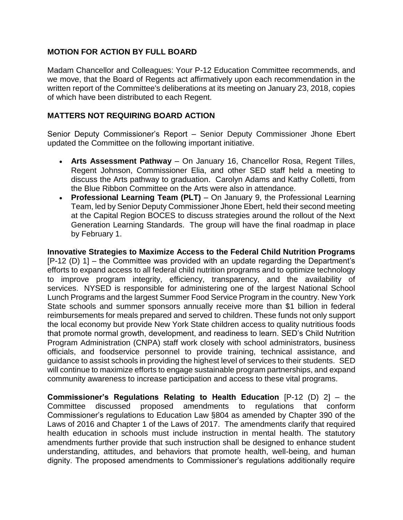## **MOTION FOR ACTION BY FULL BOARD**

Madam Chancellor and Colleagues: Your P-12 Education Committee recommends, and we move, that the Board of Regents act affirmatively upon each recommendation in the written report of the Committee's deliberations at its meeting on January 23, 2018, copies of which have been distributed to each Regent.

### **MATTERS NOT REQUIRING BOARD ACTION**

Senior Deputy Commissioner's Report – Senior Deputy Commissioner Jhone Ebert updated the Committee on the following important initiative.

- **Arts Assessment Pathway** On January 16, Chancellor Rosa, Regent Tilles, Regent Johnson, Commissioner Elia, and other SED staff held a meeting to discuss the Arts pathway to graduation. Carolyn Adams and Kathy Colletti, from the Blue Ribbon Committee on the Arts were also in attendance.
- **Professional Learning Team (PLT)** On January 9, the Professional Learning Team, led by Senior Deputy Commissioner Jhone Ebert, held their second meeting at the Capital Region BOCES to discuss strategies around the rollout of the Next Generation Learning Standards. The group will have the final roadmap in place by February 1.

**Innovative Strategies to Maximize Access to the Federal Child Nutrition Programs** [P-12 (D) 1] – the Committee was provided with an update regarding the Department's efforts to expand access to all federal child nutrition programs and to optimize technology to improve program integrity, efficiency, transparency, and the availability of services. NYSED is responsible for administering one of the largest National School Lunch Programs and the largest Summer Food Service Program in the country. New York State schools and summer sponsors annually receive more than \$1 billion in federal reimbursements for meals prepared and served to children. These funds not only support the local economy but provide New York State children access to quality nutritious foods that promote normal growth, development, and readiness to learn. SED's Child Nutrition Program Administration (CNPA) staff work closely with school administrators, business officials, and foodservice personnel to provide training, technical assistance, and guidance to assist schools in providing the highest level of services to their students. SED will continue to maximize efforts to engage sustainable program partnerships, and expand community awareness to increase participation and access to these vital programs.

**Commissioner's Regulations Relating to Health Education** [P-12 (D) 2] – the Committee discussed proposed amendments to regulations that conform Commissioner's regulations to Education Law §804 as amended by Chapter 390 of the Laws of 2016 and Chapter 1 of the Laws of 2017. The amendments clarify that required health education in schools must include instruction in mental health. The statutory amendments further provide that such instruction shall be designed to enhance student understanding, attitudes, and behaviors that promote health, well-being, and human dignity. The proposed amendments to Commissioner's regulations additionally require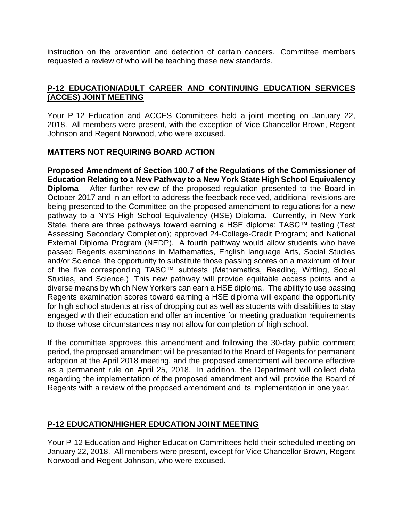instruction on the prevention and detection of certain cancers. Committee members requested a review of who will be teaching these new standards.

## **P-12 EDUCATION/ADULT CAREER AND CONTINUING EDUCATION SERVICES (ACCES) JOINT MEETING**

Your P-12 Education and ACCES Committees held a joint meeting on January 22, 2018. All members were present, with the exception of Vice Chancellor Brown, Regent Johnson and Regent Norwood, who were excused.

### **MATTERS NOT REQUIRING BOARD ACTION**

**Proposed Amendment of Section 100.7 of the Regulations of the Commissioner of Education Relating to a New Pathway to a New York State High School Equivalency Diploma** – After further review of the proposed regulation presented to the Board in October 2017 and in an effort to address the feedback received, additional revisions are being presented to the Committee on the proposed amendment to regulations for a new pathway to a NYS High School Equivalency (HSE) Diploma. Currently, in New York State, there are three pathways toward earning a HSE diploma: TASC™ testing (Test Assessing Secondary Completion); approved 24-College-Credit Program; and National External Diploma Program (NEDP). A fourth pathway would allow students who have passed Regents examinations in Mathematics, English language Arts, Social Studies and/or Science, the opportunity to substitute those passing scores on a maximum of four of the five corresponding TASC™ subtests (Mathematics, Reading, Writing, Social Studies, and Science.) This new pathway will provide equitable access points and a diverse means by which New Yorkers can earn a HSE diploma. The ability to use passing Regents examination scores toward earning a HSE diploma will expand the opportunity for high school students at risk of dropping out as well as students with disabilities to stay engaged with their education and offer an incentive for meeting graduation requirements to those whose circumstances may not allow for completion of high school.

If the committee approves this amendment and following the 30-day public comment period, the proposed amendment will be presented to the Board of Regents for permanent adoption at the April 2018 meeting, and the proposed amendment will become effective as a permanent rule on April 25, 2018. In addition, the Department will collect data regarding the implementation of the proposed amendment and will provide the Board of Regents with a review of the proposed amendment and its implementation in one year.

## **P-12 EDUCATION/HIGHER EDUCATION JOINT MEETING**

Your P-12 Education and Higher Education Committees held their scheduled meeting on January 22, 2018. All members were present, except for Vice Chancellor Brown, Regent Norwood and Regent Johnson, who were excused.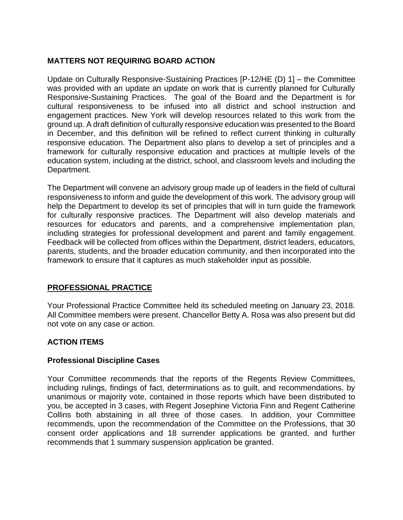## **MATTERS NOT REQUIRING BOARD ACTION**

Update on Culturally Responsive-Sustaining Practices [P-12/HE (D) 1] – the Committee was provided with an update an update on work that is currently planned for Culturally Responsive-Sustaining Practices. The goal of the Board and the Department is for cultural responsiveness to be infused into all district and school instruction and engagement practices. New York will develop resources related to this work from the ground up. A draft definition of culturally responsive education was presented to the Board in December, and this definition will be refined to reflect current thinking in culturally responsive education. The Department also plans to develop a set of principles and a framework for culturally responsive education and practices at multiple levels of the education system, including at the district, school, and classroom levels and including the Department.

The Department will convene an advisory group made up of leaders in the field of cultural responsiveness to inform and guide the development of this work. The advisory group will help the Department to develop its set of principles that will in turn guide the framework for culturally responsive practices. The Department will also develop materials and resources for educators and parents, and a comprehensive implementation plan, including strategies for professional development and parent and family engagement. Feedback will be collected from offices within the Department, district leaders, educators, parents, students, and the broader education community, and then incorporated into the framework to ensure that it captures as much stakeholder input as possible.

## **PROFESSIONAL PRACTICE**

Your Professional Practice Committee held its scheduled meeting on January 23, 2018. All Committee members were present. Chancellor Betty A. Rosa was also present but did not vote on any case or action.

## **ACTION ITEMS**

### **Professional Discipline Cases**

Your Committee recommends that the reports of the Regents Review Committees, including rulings, findings of fact, determinations as to guilt, and recommendations, by unanimous or majority vote, contained in those reports which have been distributed to you, be accepted in 3 cases, with Regent Josephine Victoria Finn and Regent Catherine Collins both abstaining in all three of those cases. In addition, your Committee recommends, upon the recommendation of the Committee on the Professions, that 30 consent order applications and 18 surrender applications be granted, and further recommends that 1 summary suspension application be granted.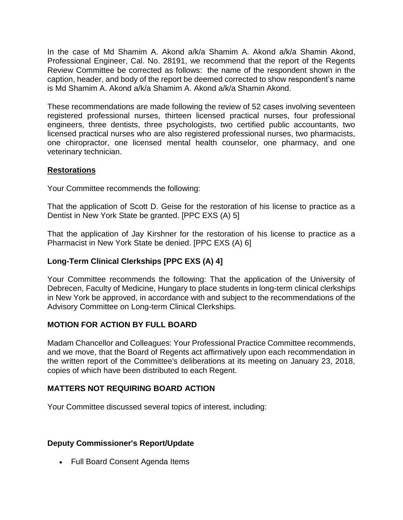In the case of Md Shamim A. Akond a/k/a Shamim A. Akond a/k/a Shamin Akond, Professional Engineer, Cal. No. 28191, we recommend that the report of the Regents Review Committee be corrected as follows: the name of the respondent shown in the caption, header, and body of the report be deemed corrected to show respondent's name is Md Shamim A. Akond a/k/a Shamim A. Akond a/k/a Shamin Akond.

These recommendations are made following the review of 52 cases involving seventeen registered professional nurses, thirteen licensed practical nurses, four professional engineers, three dentists, three psychologists, two certified public accountants, two licensed practical nurses who are also registered professional nurses, two pharmacists, one chiropractor, one licensed mental health counselor, one pharmacy, and one veterinary technician.

### **Restorations**

Your Committee recommends the following:

That the application of Scott D. Geise for the restoration of his license to practice as a Dentist in New York State be granted. [PPC EXS (A) 5]

That the application of Jay Kirshner for the restoration of his license to practice as a Pharmacist in New York State be denied. [PPC EXS (A) 6]

## **Long-Term Clinical Clerkships [PPC EXS (A) 4]**

Your Committee recommends the following: That the application of the University of Debrecen, Faculty of Medicine, Hungary to place students in long-term clinical clerkships in New York be approved, in accordance with and subject to the recommendations of the Advisory Committee on Long-term Clinical Clerkships.

## **MOTION FOR ACTION BY FULL BOARD**

Madam Chancellor and Colleagues: Your Professional Practice Committee recommends, and we move, that the Board of Regents act affirmatively upon each recommendation in the written report of the Committee's deliberations at its meeting on January 23, 2018, copies of which have been distributed to each Regent.

### **MATTERS NOT REQUIRING BOARD ACTION**

Your Committee discussed several topics of interest, including:

### **Deputy Commissioner's Report/Update**

• Full Board Consent Agenda Items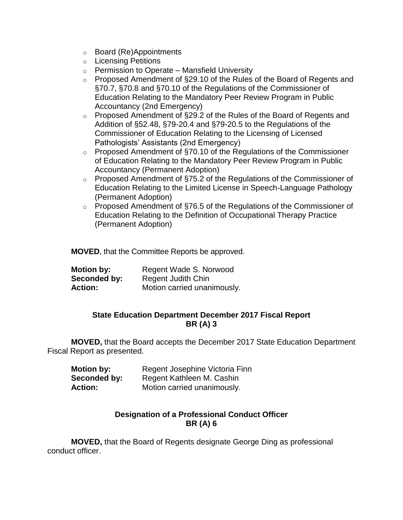- o Board (Re)Appointments
- o Licensing Petitions
- $\circ$  Permission to Operate Mansfield University
- $\circ$  Proposed Amendment of §29.10 of the Rules of the Board of Regents and §70.7, §70.8 and §70.10 of the Regulations of the Commissioner of Education Relating to the Mandatory Peer Review Program in Public Accountancy (2nd Emergency)
- o Proposed Amendment of §29.2 of the Rules of the Board of Regents and Addition of §52.48, §79-20.4 and §79-20.5 to the Regulations of the Commissioner of Education Relating to the Licensing of Licensed Pathologists' Assistants (2nd Emergency)
- o Proposed Amendment of §70.10 of the Regulations of the Commissioner of Education Relating to the Mandatory Peer Review Program in Public Accountancy (Permanent Adoption)
- o Proposed Amendment of §75.2 of the Regulations of the Commissioner of Education Relating to the Limited License in Speech-Language Pathology (Permanent Adoption)
- o Proposed Amendment of §76.5 of the Regulations of the Commissioner of Education Relating to the Definition of Occupational Therapy Practice (Permanent Adoption)

**MOVED**, that the Committee Reports be approved.

| <b>Motion by:</b> | Regent Wade S. Norwood      |
|-------------------|-----------------------------|
| Seconded by:      | Regent Judith Chin          |
| <b>Action:</b>    | Motion carried unanimously. |

#### **State Education Department December 2017 Fiscal Report BR (A) 3**

**MOVED,** that the Board accepts the December 2017 State Education Department Fiscal Report as presented.

| <b>Motion by:</b> | Regent Josephine Victoria Finn |
|-------------------|--------------------------------|
| Seconded by:      | Regent Kathleen M. Cashin      |
| <b>Action:</b>    | Motion carried unanimously.    |

### **Designation of a Professional Conduct Officer BR (A) 6**

**MOVED,** that the Board of Regents designate George Ding as professional conduct officer.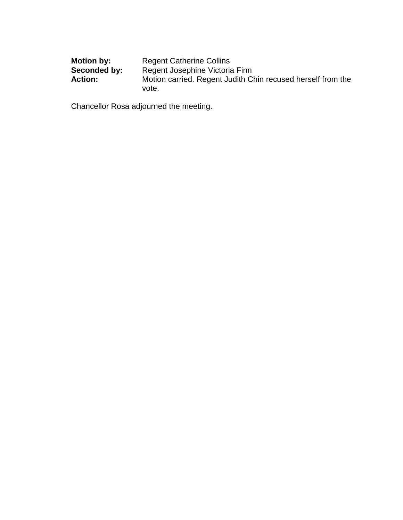| <b>Motion by:</b> | <b>Regent Catherine Collins</b>                                      |
|-------------------|----------------------------------------------------------------------|
| Seconded by:      | Regent Josephine Victoria Finn                                       |
| <b>Action:</b>    | Motion carried. Regent Judith Chin recused herself from the<br>vote. |

Chancellor Rosa adjourned the meeting.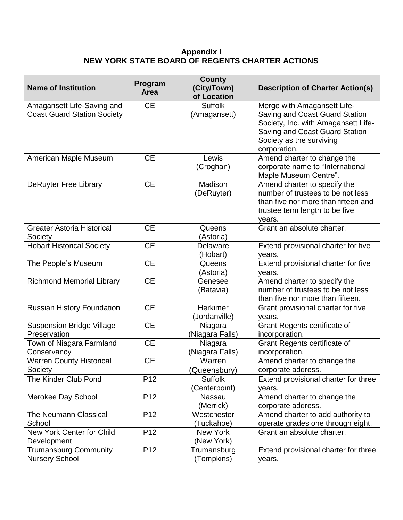#### **Appendix I NEW YORK STATE BOARD OF REGENTS CHARTER ACTIONS**

| <b>Name of Institution</b>                                       | Program<br>Area | <b>County</b><br>(City/Town)<br>of Location | <b>Description of Charter Action(s)</b>                                                                                                                                            |
|------------------------------------------------------------------|-----------------|---------------------------------------------|------------------------------------------------------------------------------------------------------------------------------------------------------------------------------------|
| Amagansett Life-Saving and<br><b>Coast Guard Station Society</b> | <b>CE</b>       | <b>Suffolk</b><br>(Amagansett)              | Merge with Amagansett Life-<br>Saving and Coast Guard Station<br>Society, Inc. with Amagansett Life-<br>Saving and Coast Guard Station<br>Society as the surviving<br>corporation. |
| American Maple Museum                                            | <b>CE</b>       | Lewis<br>(Croghan)                          | Amend charter to change the<br>corporate name to "International<br>Maple Museum Centre".                                                                                           |
| <b>DeRuyter Free Library</b>                                     | <b>CE</b>       | Madison<br>(DeRuyter)                       | Amend charter to specify the<br>number of trustees to be not less<br>than five nor more than fifteen and<br>trustee term length to be five<br>years.                               |
| <b>Greater Astoria Historical</b><br>Society                     | <b>CE</b>       | Queens<br>(Astoria)                         | Grant an absolute charter.                                                                                                                                                         |
| <b>Hobart Historical Society</b>                                 | <b>CE</b>       | Delaware<br>(Hobart)                        | Extend provisional charter for five<br>years.                                                                                                                                      |
| The People's Museum                                              | <b>CE</b>       | Queens<br>(Astoria)                         | Extend provisional charter for five<br>years.                                                                                                                                      |
| <b>Richmond Memorial Library</b>                                 | <b>CE</b>       | Genesee<br>(Batavia)                        | Amend charter to specify the<br>number of trustees to be not less<br>than five nor more than fifteen.                                                                              |
| <b>Russian History Foundation</b>                                | <b>CE</b>       | Herkimer<br>(Jordanville)                   | Grant provisional charter for five<br>years.                                                                                                                                       |
| <b>Suspension Bridge Village</b><br>Preservation                 | <b>CE</b>       | Niagara<br>(Niagara Falls)                  | Grant Regents certificate of<br>incorporation.                                                                                                                                     |
| Town of Niagara Farmland<br>Conservancy                          | <b>CE</b>       | Niagara<br>(Niagara Falls)                  | <b>Grant Regents certificate of</b><br>incorporation.                                                                                                                              |
| <b>Warren County Historical</b><br>Society                       | <b>CE</b>       | Warren<br>(Queensbury)                      | Amend charter to change the<br>corporate address.                                                                                                                                  |
| The Kinder Club Pond                                             | P <sub>12</sub> | Suffolk<br>(Centerpoint)                    | Extend provisional charter for three<br>years.                                                                                                                                     |
| Merokee Day School                                               | P <sub>12</sub> | Nassau<br>(Merrick)                         | Amend charter to change the<br>corporate address.                                                                                                                                  |
| <b>The Neumann Classical</b><br>School                           | P <sub>12</sub> | Westchester<br>(Tuckahoe)                   | Amend charter to add authority to<br>operate grades one through eight.                                                                                                             |
| New York Center for Child<br>Development                         | P <sub>12</sub> | New York<br>(New York)                      | Grant an absolute charter.                                                                                                                                                         |
| <b>Trumansburg Community</b><br><b>Nursery School</b>            | P <sub>12</sub> | Trumansburg<br>(Tompkins)                   | Extend provisional charter for three<br>years.                                                                                                                                     |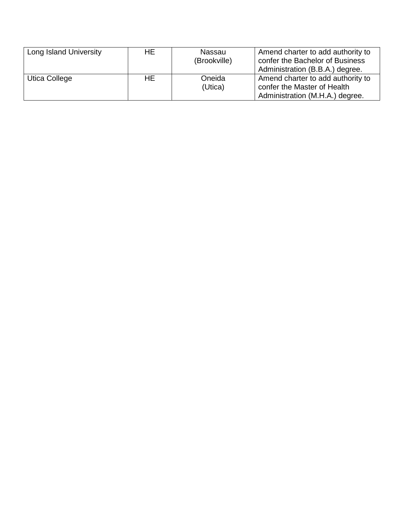| Long Island University | HE. | Nassau       | Amend charter to add authority to |
|------------------------|-----|--------------|-----------------------------------|
|                        |     | (Brookville) | confer the Bachelor of Business   |
|                        |     |              | Administration (B.B.A.) degree.   |
| Utica College          | HE  | Oneida       | Amend charter to add authority to |
|                        |     | (Utica)      | confer the Master of Health       |
|                        |     |              | Administration (M.H.A.) degree.   |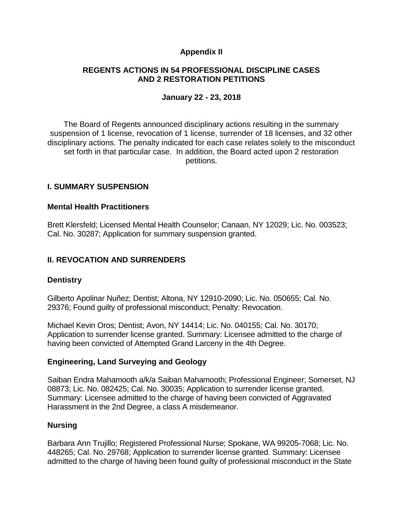### **Appendix II**

### **REGENTS ACTIONS IN 54 PROFESSIONAL DISCIPLINE CASES AND 2 RESTORATION PETITIONS**

### **January 22 - 23, 2018**

The Board of Regents announced disciplinary actions resulting in the summary suspension of 1 license, revocation of 1 license, surrender of 18 licenses, and 32 other disciplinary actions. The penalty indicated for each case relates solely to the misconduct set forth in that particular case. In addition, the Board acted upon 2 restoration petitions.

### **I. SUMMARY SUSPENSION**

### **Mental Health Practitioners**

Brett Klersfeld; Licensed Mental Health Counselor; Canaan, NY 12029; Lic. No. 003523; Cal. No. 30287; Application for summary suspension granted.

## **II. REVOCATION AND SURRENDERS**

### **Dentistry**

Gilberto Apolinar Nuñez; Dentist; Altona, NY 12910-2090; Lic. No. 050655; Cal. No. 29376; Found guilty of professional misconduct; Penalty: Revocation.

Michael Kevin Oros; Dentist; Avon, NY 14414; Lic. No. 040155; Cal. No. 30170; Application to surrender license granted. Summary: Licensee admitted to the charge of having been convicted of Attempted Grand Larceny in the 4th Degree.

### **Engineering, Land Surveying and Geology**

Saiban Endra Mahamooth a/k/a Saiban Mahamooth; Professional Engineer; Somerset, NJ 08873; Lic. No. 082425; Cal. No. 30035; Application to surrender license granted. Summary: Licensee admitted to the charge of having been convicted of Aggravated Harassment in the 2nd Degree, a class A misdemeanor.

### **Nursing**

Barbara Ann Trujillo; Registered Professional Nurse; Spokane, WA 99205-7068; Lic. No. 448265; Cal. No. 29768; Application to surrender license granted. Summary: Licensee admitted to the charge of having been found guilty of professional misconduct in the State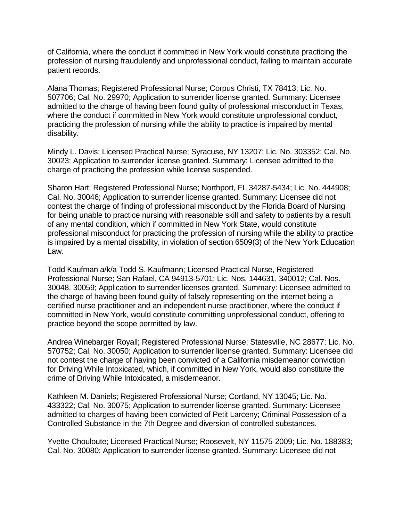of California, where the conduct if committed in New York would constitute practicing the profession of nursing fraudulently and unprofessional conduct, failing to maintain accurate patient records.

Alana Thomas; Registered Professional Nurse; Corpus Christi, TX 78413; Lic. No. 507706; Cal. No. 29970; Application to surrender license granted. Summary: Licensee admitted to the charge of having been found guilty of professional misconduct in Texas, where the conduct if committed in New York would constitute unprofessional conduct, practicing the profession of nursing while the ability to practice is impaired by mental disability.

Mindy L. Davis; Licensed Practical Nurse; Syracuse, NY 13207; Lic. No. 303352; Cal. No. 30023; Application to surrender license granted. Summary: Licensee admitted to the charge of practicing the profession while license suspended.

Sharon Hart; Registered Professional Nurse; Northport, FL 34287-5434; Lic. No. 444908; Cal. No. 30046; Application to surrender license granted. Summary: Licensee did not contest the charge of finding of professional misconduct by the Florida Board of Nursing for being unable to practice nursing with reasonable skill and safety to patients by a result of any mental condition, which if committed in New York State, would constitute professional misconduct for practicing the profession of nursing while the ability to practice is impaired by a mental disability, in violation of section 6509(3) of the New York Education Law.

Todd Kaufman a/k/a Todd S. Kaufmann; Licensed Practical Nurse, Registered Professional Nurse; San Rafael, CA 94913-5701; Lic. Nos. 144631, 340012; Cal. Nos. 30048, 30059; Application to surrender licenses granted. Summary: Licensee admitted to the charge of having been found guilty of falsely representing on the internet being a certified nurse practitioner and an independent nurse practitioner, where the conduct if committed in New York, would constitute committing unprofessional conduct, offering to practice beyond the scope permitted by law.

Andrea Winebarger Royall; Registered Professional Nurse; Statesville, NC 28677; Lic. No. 570752; Cal. No. 30050; Application to surrender license granted. Summary: Licensee did not contest the charge of having been convicted of a California misdemeanor conviction for Driving While Intoxicated, which, if committed in New York, would also constitute the crime of Driving While Intoxicated, a misdemeanor.

Kathleen M. Daniels; Registered Professional Nurse; Cortland, NY 13045; Lic. No. 433322; Cal. No. 30075; Application to surrender license granted. Summary: Licensee admitted to charges of having been convicted of Petit Larceny; Criminal Possession of a Controlled Substance in the 7th Degree and diversion of controlled substances.

Yvette Chouloute; Licensed Practical Nurse; Roosevelt, NY 11575-2009; Lic. No. 188383; Cal. No. 30080; Application to surrender license granted. Summary: Licensee did not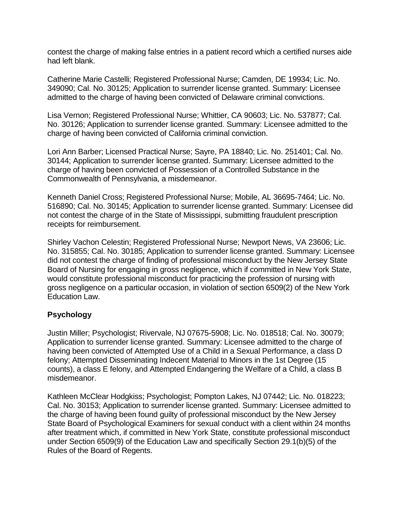contest the charge of making false entries in a patient record which a certified nurses aide had left blank.

Catherine Marie Castelli; Registered Professional Nurse; Camden, DE 19934; Lic. No. 349090; Cal. No. 30125; Application to surrender license granted. Summary: Licensee admitted to the charge of having been convicted of Delaware criminal convictions.

Lisa Vernon; Registered Professional Nurse; Whittier, CA 90603; Lic. No. 537877; Cal. No. 30126; Application to surrender license granted. Summary: Licensee admitted to the charge of having been convicted of California criminal conviction.

Lori Ann Barber; Licensed Practical Nurse; Sayre, PA 18840; Lic. No. 251401; Cal. No. 30144; Application to surrender license granted. Summary: Licensee admitted to the charge of having been convicted of Possession of a Controlled Substance in the Commonwealth of Pennsylvania, a misdemeanor.

Kenneth Daniel Cross; Registered Professional Nurse; Mobile, AL 36695-7464; Lic. No. 516890; Cal. No. 30145; Application to surrender license granted. Summary: Licensee did not contest the charge of in the State of Mississippi, submitting fraudulent prescription receipts for reimbursement.

Shirley Vachon Celestin; Registered Professional Nurse; Newport News, VA 23606; Lic. No. 315855; Cal. No. 30185; Application to surrender license granted. Summary: Licensee did not contest the charge of finding of professional misconduct by the New Jersey State Board of Nursing for engaging in gross negligence, which if committed in New York State, would constitute professional misconduct for practicing the profession of nursing with gross negligence on a particular occasion, in violation of section 6509(2) of the New York Education Law.

### **Psychology**

Justin Miller; Psychologist; Rivervale, NJ 07675-5908; Lic. No. 018518; Cal. No. 30079; Application to surrender license granted. Summary: Licensee admitted to the charge of having been convicted of Attempted Use of a Child in a Sexual Performance, a class D felony; Attempted Disseminating Indecent Material to Minors in the 1st Degree (15 counts), a class E felony, and Attempted Endangering the Welfare of a Child, a class B misdemeanor.

Kathleen McClear Hodgkiss; Psychologist; Pompton Lakes, NJ 07442; Lic. No. 018223; Cal. No. 30153; Application to surrender license granted. Summary: Licensee admitted to the charge of having been found guilty of professional misconduct by the New Jersey State Board of Psychological Examiners for sexual conduct with a client within 24 months after treatment which, if committed in New York State, constitute professional misconduct under Section 6509(9) of the Education Law and specifically Section 29.1(b)(5) of the Rules of the Board of Regents.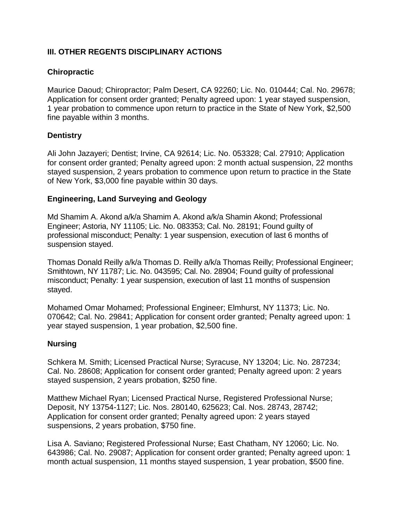# **III. OTHER REGENTS DISCIPLINARY ACTIONS**

## **Chiropractic**

Maurice Daoud; Chiropractor; Palm Desert, CA 92260; Lic. No. 010444; Cal. No. 29678; Application for consent order granted; Penalty agreed upon: 1 year stayed suspension, 1 year probation to commence upon return to practice in the State of New York, \$2,500 fine payable within 3 months.

### **Dentistry**

Ali John Jazayeri; Dentist; Irvine, CA 92614; Lic. No. 053328; Cal. 27910; Application for consent order granted; Penalty agreed upon: 2 month actual suspension, 22 months stayed suspension, 2 years probation to commence upon return to practice in the State of New York, \$3,000 fine payable within 30 days.

### **Engineering, Land Surveying and Geology**

Md Shamim A. Akond a/k/a Shamim A. Akond a/k/a Shamin Akond; Professional Engineer; Astoria, NY 11105; Lic. No. 083353; Cal. No. 28191; Found guilty of professional misconduct; Penalty: 1 year suspension, execution of last 6 months of suspension stayed.

Thomas Donald Reilly a/k/a Thomas D. Reilly a/k/a Thomas Reilly; Professional Engineer; Smithtown, NY 11787; Lic. No. 043595; Cal. No. 28904; Found guilty of professional misconduct; Penalty: 1 year suspension, execution of last 11 months of suspension stayed.

Mohamed Omar Mohamed; Professional Engineer; Elmhurst, NY 11373; Lic. No. 070642; Cal. No. 29841; Application for consent order granted; Penalty agreed upon: 1 year stayed suspension, 1 year probation, \$2,500 fine.

### **Nursing**

Schkera M. Smith; Licensed Practical Nurse; Syracuse, NY 13204; Lic. No. 287234; Cal. No. 28608; Application for consent order granted; Penalty agreed upon: 2 years stayed suspension, 2 years probation, \$250 fine.

Matthew Michael Ryan; Licensed Practical Nurse, Registered Professional Nurse; Deposit, NY 13754-1127; Lic. Nos. 280140, 625623; Cal. Nos. 28743, 28742; Application for consent order granted; Penalty agreed upon: 2 years stayed suspensions, 2 years probation, \$750 fine.

Lisa A. Saviano; Registered Professional Nurse; East Chatham, NY 12060; Lic. No. 643986; Cal. No. 29087; Application for consent order granted; Penalty agreed upon: 1 month actual suspension, 11 months stayed suspension, 1 year probation, \$500 fine.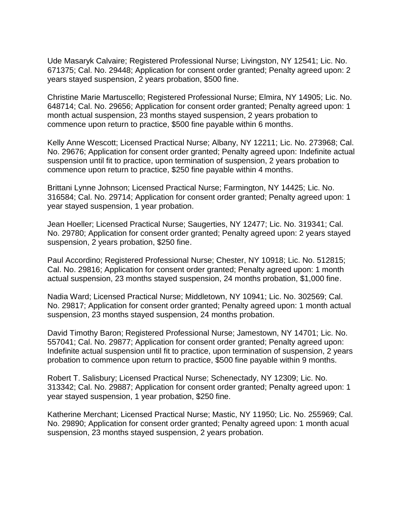Ude Masaryk Calvaire; Registered Professional Nurse; Livingston, NY 12541; Lic. No. 671375; Cal. No. 29448; Application for consent order granted; Penalty agreed upon: 2 years stayed suspension, 2 years probation, \$500 fine.

Christine Marie Martuscello; Registered Professional Nurse; Elmira, NY 14905; Lic. No. 648714; Cal. No. 29656; Application for consent order granted; Penalty agreed upon: 1 month actual suspension, 23 months stayed suspension, 2 years probation to commence upon return to practice, \$500 fine payable within 6 months.

Kelly Anne Wescott; Licensed Practical Nurse; Albany, NY 12211; Lic. No. 273968; Cal. No. 29676; Application for consent order granted; Penalty agreed upon: Indefinite actual suspension until fit to practice, upon termination of suspension, 2 years probation to commence upon return to practice, \$250 fine payable within 4 months.

Brittani Lynne Johnson; Licensed Practical Nurse; Farmington, NY 14425; Lic. No. 316584; Cal. No. 29714; Application for consent order granted; Penalty agreed upon: 1 year stayed suspension, 1 year probation.

Jean Hoeller; Licensed Practical Nurse; Saugerties, NY 12477; Lic. No. 319341; Cal. No. 29780; Application for consent order granted; Penalty agreed upon: 2 years stayed suspension, 2 years probation, \$250 fine.

Paul Accordino; Registered Professional Nurse; Chester, NY 10918; Lic. No. 512815; Cal. No. 29816; Application for consent order granted; Penalty agreed upon: 1 month actual suspension, 23 months stayed suspension, 24 months probation, \$1,000 fine.

Nadia Ward; Licensed Practical Nurse; Middletown, NY 10941; Lic. No. 302569; Cal. No. 29817; Application for consent order granted; Penalty agreed upon: 1 month actual suspension, 23 months stayed suspension, 24 months probation.

David Timothy Baron; Registered Professional Nurse; Jamestown, NY 14701; Lic. No. 557041; Cal. No. 29877; Application for consent order granted; Penalty agreed upon: Indefinite actual suspension until fit to practice, upon termination of suspension, 2 years probation to commence upon return to practice, \$500 fine payable within 9 months.

Robert T. Salisbury; Licensed Practical Nurse; Schenectady, NY 12309; Lic. No. 313342; Cal. No. 29887; Application for consent order granted; Penalty agreed upon: 1 year stayed suspension, 1 year probation, \$250 fine.

Katherine Merchant; Licensed Practical Nurse; Mastic, NY 11950; Lic. No. 255969; Cal. No. 29890; Application for consent order granted; Penalty agreed upon: 1 month acual suspension, 23 months stayed suspension, 2 years probation.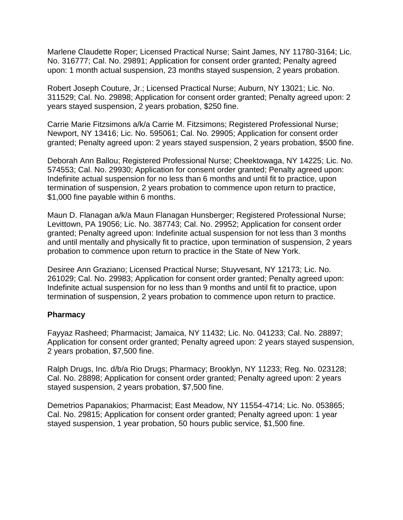Marlene Claudette Roper; Licensed Practical Nurse; Saint James, NY 11780-3164; Lic. No. 316777; Cal. No. 29891; Application for consent order granted; Penalty agreed upon: 1 month actual suspension, 23 months stayed suspension, 2 years probation.

Robert Joseph Couture, Jr.; Licensed Practical Nurse; Auburn, NY 13021; Lic. No. 311529; Cal. No. 29898; Application for consent order granted; Penalty agreed upon: 2 years stayed suspension, 2 years probation, \$250 fine.

Carrie Marie Fitzsimons a/k/a Carrie M. Fitzsimons; Registered Professional Nurse; Newport, NY 13416; Lic. No. 595061; Cal. No. 29905; Application for consent order granted; Penalty agreed upon: 2 years stayed suspension, 2 years probation, \$500 fine.

Deborah Ann Ballou; Registered Professional Nurse; Cheektowaga, NY 14225; Lic. No. 574553; Cal. No. 29930; Application for consent order granted; Penalty agreed upon: Indefinite actual suspension for no less than 6 months and until fit to practice, upon termination of suspension, 2 years probation to commence upon return to practice, \$1,000 fine payable within 6 months.

Maun D. Flanagan a/k/a Maun Flanagan Hunsberger; Registered Professional Nurse; Levittown, PA 19056; Lic. No. 387743; Cal. No. 29952; Application for consent order granted; Penalty agreed upon: Indefinite actual suspension for not less than 3 months and until mentally and physically fit to practice, upon termination of suspension, 2 years probation to commence upon return to practice in the State of New York.

Desiree Ann Graziano; Licensed Practical Nurse; Stuyvesant, NY 12173; Lic. No. 261029; Cal. No. 29983; Application for consent order granted; Penalty agreed upon: Indefinite actual suspension for no less than 9 months and until fit to practice, upon termination of suspension, 2 years probation to commence upon return to practice.

#### **Pharmacy**

Fayyaz Rasheed; Pharmacist; Jamaica, NY 11432; Lic. No. 041233; Cal. No. 28897; Application for consent order granted; Penalty agreed upon: 2 years stayed suspension, 2 years probation, \$7,500 fine.

Ralph Drugs, Inc. d/b/a Rio Drugs; Pharmacy; Brooklyn, NY 11233; Reg. No. 023128; Cal. No. 28898; Application for consent order granted; Penalty agreed upon: 2 years stayed suspension, 2 years probation, \$7,500 fine.

Demetrios Papanakios; Pharmacist; East Meadow, NY 11554-4714; Lic. No. 053865; Cal. No. 29815; Application for consent order granted; Penalty agreed upon: 1 year stayed suspension, 1 year probation, 50 hours public service, \$1,500 fine.